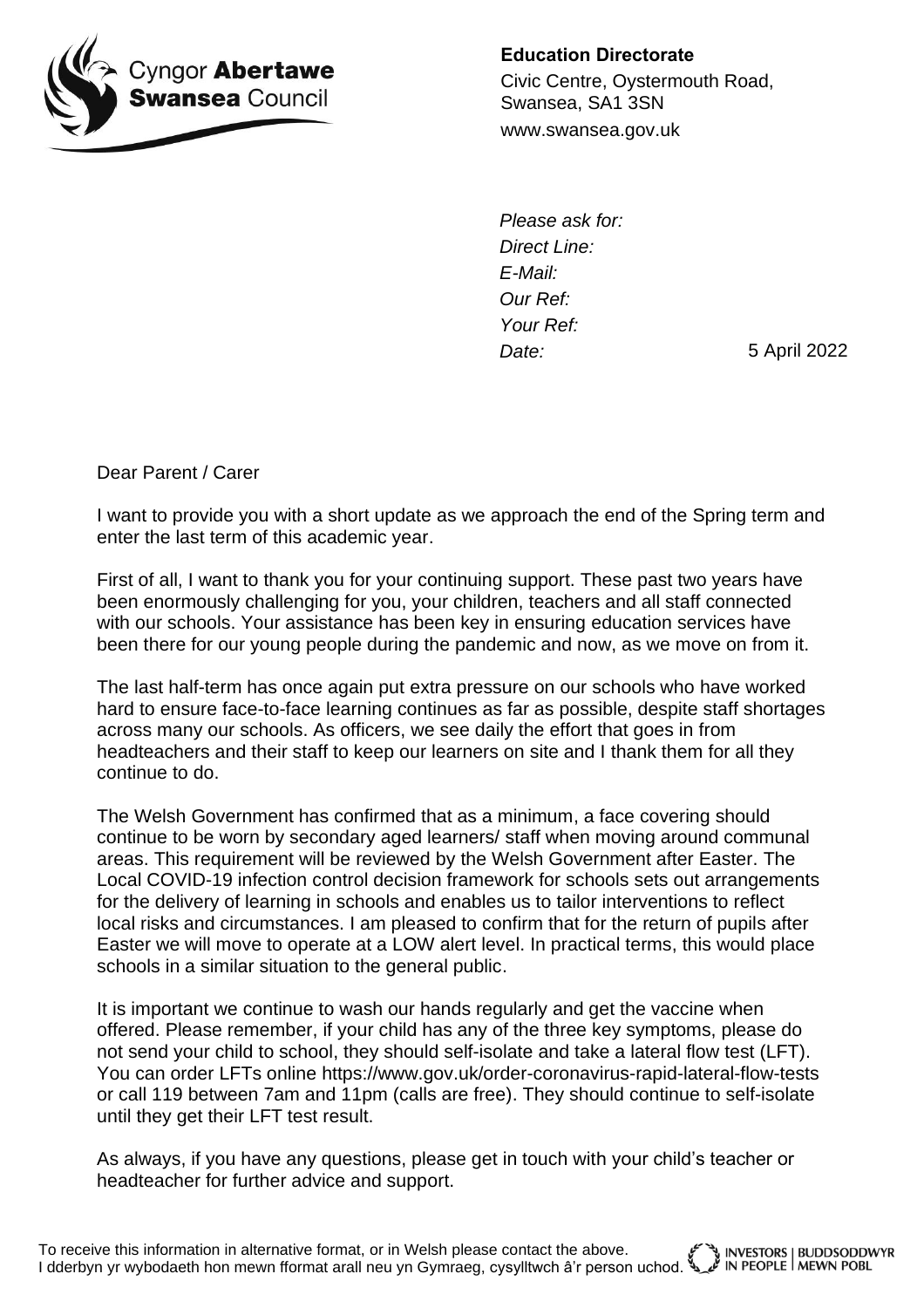

**Education Directorate**

Civic Centre, Oystermouth Road, Swansea, SA1 3SN www.swansea.gov.uk

*Please ask for: Direct Line: E-Mail: Our Ref: Your Ref: Date:*

5 April 2022

Dear Parent / Carer

I want to provide you with a short update as we approach the end of the Spring term and enter the last term of this academic year.

First of all, I want to thank you for your continuing support. These past two years have been enormously challenging for you, your children, teachers and all staff connected with our schools. Your assistance has been key in ensuring education services have been there for our young people during the pandemic and now, as we move on from it.

The last half-term has once again put extra pressure on our schools who have worked hard to ensure face-to-face learning continues as far as possible, despite staff shortages across many our schools. As officers, we see daily the effort that goes in from headteachers and their staff to keep our learners on site and I thank them for all they continue to do.

The Welsh Government has confirmed that as a minimum, a face covering should continue to be worn by secondary aged learners/ staff when moving around communal areas. This requirement will be reviewed by the Welsh Government after Easter. The Local COVID-19 infection control decision framework for schools sets out arrangements for the delivery of learning in schools and enables us to tailor interventions to reflect local risks and circumstances. I am pleased to confirm that for the return of pupils after Easter we will move to operate at a LOW alert level. In practical terms, this would place schools in a similar situation to the general public.

It is important we continue to wash our hands regularly and get the vaccine when offered. Please remember, if your child has any of the three key symptoms, please do not send your child to school, they should self-isolate and take a lateral flow test (LFT). You can order LFTs online https://www.gov.uk/order-coronavirus-rapid-lateral-flow-tests or call 119 between 7am and 11pm (calls are free). They should continue to self-isolate until they get their LFT test result.

As always, if you have any questions, please get in touch with your child's teacher or headteacher for further advice and support.